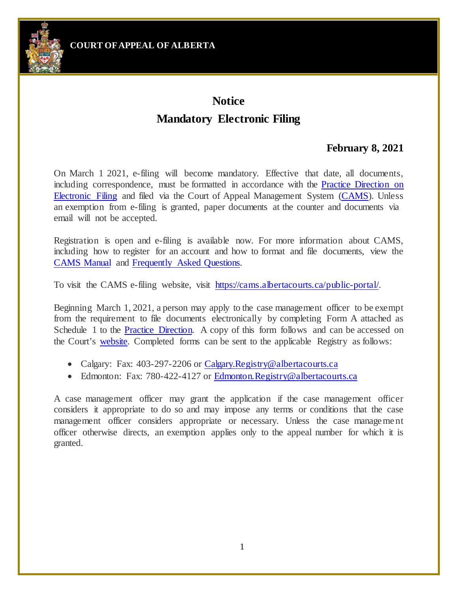**COURT OFAPPEAL OF ALBERTA**



## **Notice Mandatory Electronic Filing**

## **February 8, 2021**

On March 1 2021, e-filing will become mandatory. Effective that date, all documents, including correspondence, must be formatted in accordance with the [Practice Direction on](https://cams.albertacourts.ca/public-portal/files/practiceDirection.pdf) [Electronic Filing](https://cams.albertacourts.ca/public-portal/files/practiceDirection.pdf) and filed via the Court of Appeal Management System [\(CAMS\)](https://cams.albertacourts.ca/public-portal/). Unless an exemption from e-filing is granted, paper documents at the counter and documents via email will not be accepted.

Registration is open and e-filing is available now. For more information about CAMS, including how to register for an account and how to format and file documents, view the [CAMS Manual](https://cams.albertacourts.ca/public-portal/files/CAMSManual.pdf) and [Frequently Asked Questions.](https://cams.albertacourts.ca/public-portal/files/FAQS.pdf)

To visit the CAMS e-filing website, visit [https://cams.albertacourts.ca/public-portal/.](https://cams.albertacourts.ca/public-portal/)

Beginning March 1, 2021, a person may apply to the case management officer to be exempt from the requirement to file documents electronically by completing Form A attached as Schedule 1 to the [Practice Direction.](https://cams.albertacourts.ca/public-portal/files/practiceDirection.pdf) A copy of this form follows and can be accessed on the Court's [website.](https://albertacourts.ca/ca/registry/filing/filing-fees-and-forms) Completed forms can be sent to the applicable Registry as follows:

- Calgary: Fax: 403-297-2206 or [Calgary.Registry@albertacourts.ca](mailto:Calgary.Registry@albertacourts.ca)
- Edmonton: Fax: 780-422-4127 or [Edmonton.Registry@albertacourts.ca](mailto:Edmonton.Registry@albertacourts.ca)

A case management officer may grant the application if the case management officer considers it appropriate to do so and may impose any terms or conditions that the case management officer considers appropriate or necessary. Unless the case management officer otherwise directs, an exemption applies only to the appeal number for which it is granted.